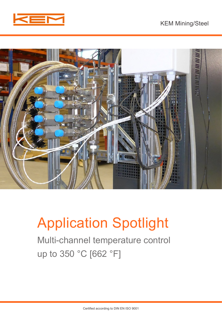



# Application Spotlight

Multi-channel temperature control up to 350 °C [662 °F]